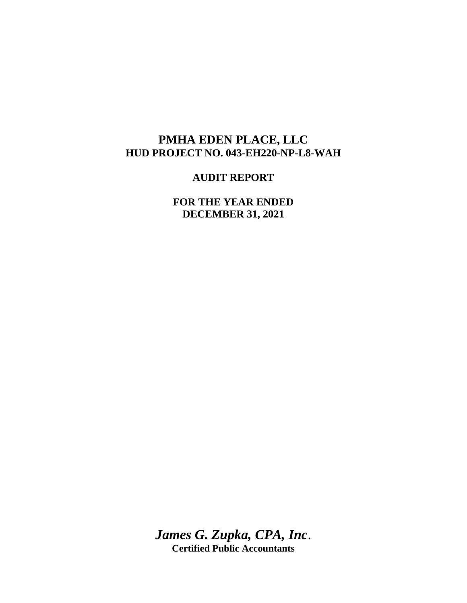# **PMHA EDEN PLACE, LLC HUD PROJECT NO. 043-EH220-NP-L8-WAH**

# **AUDIT REPORT**

**FOR THE YEAR ENDED DECEMBER 31, 2021**

*James G. Zupka, CPA, Inc*. **Certified Public Accountants**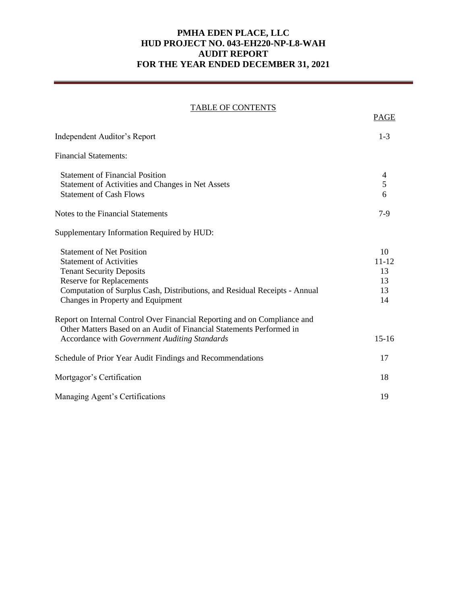### **PMHA EDEN PLACE, LLC HUD PROJECT NO. 043-EH220-NP-L8-WAH AUDIT REPORT FOR THE YEAR ENDED DECEMBER 31, 2021**

| <b>TABLE OF CONTENTS</b>                                                                                                                                                                                                                                    |                                         |
|-------------------------------------------------------------------------------------------------------------------------------------------------------------------------------------------------------------------------------------------------------------|-----------------------------------------|
|                                                                                                                                                                                                                                                             | PAGE                                    |
| <b>Independent Auditor's Report</b>                                                                                                                                                                                                                         | $1 - 3$                                 |
| <b>Financial Statements:</b>                                                                                                                                                                                                                                |                                         |
| <b>Statement of Financial Position</b><br>Statement of Activities and Changes in Net Assets<br><b>Statement of Cash Flows</b>                                                                                                                               | 4<br>5<br>6                             |
| Notes to the Financial Statements                                                                                                                                                                                                                           | $7-9$                                   |
| Supplementary Information Required by HUD:                                                                                                                                                                                                                  |                                         |
| <b>Statement of Net Position</b><br><b>Statement of Activities</b><br><b>Tenant Security Deposits</b><br><b>Reserve for Replacements</b><br>Computation of Surplus Cash, Distributions, and Residual Receipts - Annual<br>Changes in Property and Equipment | 10<br>$11 - 12$<br>13<br>13<br>13<br>14 |
| Report on Internal Control Over Financial Reporting and on Compliance and<br>Other Matters Based on an Audit of Financial Statements Performed in<br>Accordance with Government Auditing Standards                                                          | $15-16$                                 |
| Schedule of Prior Year Audit Findings and Recommendations                                                                                                                                                                                                   | 17                                      |
| Mortgagor's Certification                                                                                                                                                                                                                                   | 18                                      |
| Managing Agent's Certifications                                                                                                                                                                                                                             | 19                                      |
|                                                                                                                                                                                                                                                             |                                         |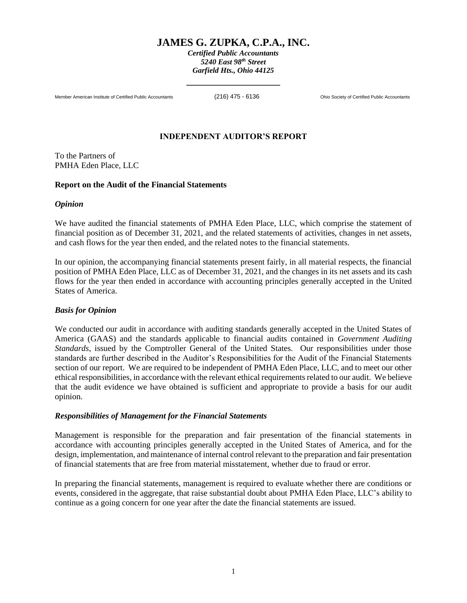# **JAMES G. ZUPKA, C.P.A., INC.**

*Certified Public Accountants 5240 East 98th Street Garfield Hts., Ohio 44125*

\_\_\_\_\_\_\_\_\_\_\_\_\_\_\_\_\_

Member American Institute of Certified Public Accountants (216) 475 - 6136 Ohio Society of Certified Public Accountants

#### **INDEPENDENT AUDITOR'S REPORT**

To the Partners of PMHA Eden Place, LLC

#### **Report on the Audit of the Financial Statements**

#### *Opinion*

We have audited the financial statements of PMHA Eden Place, LLC, which comprise the statement of financial position as of December 31, 2021, and the related statements of activities, changes in net assets, and cash flows for the year then ended, and the related notes to the financial statements.

In our opinion, the accompanying financial statements present fairly, in all material respects, the financial position of PMHA Eden Place, LLC as of December 31, 2021, and the changes in its net assets and its cash flows for the year then ended in accordance with accounting principles generally accepted in the United States of America.

#### *Basis for Opinion*

We conducted our audit in accordance with auditing standards generally accepted in the United States of America (GAAS) and the standards applicable to financial audits contained in *Government Auditing Standards*, issued by the Comptroller General of the United States. Our responsibilities under those standards are further described in the Auditor's Responsibilities for the Audit of the Financial Statements section of our report. We are required to be independent of PMHA Eden Place, LLC, and to meet our other ethical responsibilities, in accordance with the relevant ethical requirements related to our audit. We believe that the audit evidence we have obtained is sufficient and appropriate to provide a basis for our audit opinion.

#### *Responsibilities of Management for the Financial Statements*

Management is responsible for the preparation and fair presentation of the financial statements in accordance with accounting principles generally accepted in the United States of America, and for the design, implementation, and maintenance of internal control relevant to the preparation and fair presentation of financial statements that are free from material misstatement, whether due to fraud or error.

In preparing the financial statements, management is required to evaluate whether there are conditions or events, considered in the aggregate, that raise substantial doubt about PMHA Eden Place, LLC's ability to continue as a going concern for one year after the date the financial statements are issued.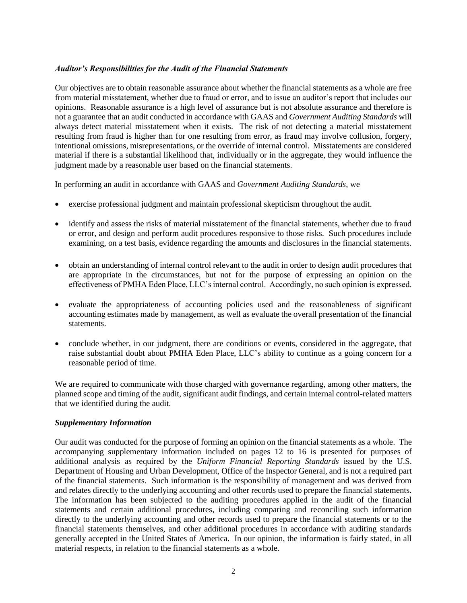#### *Auditor's Responsibilities for the Audit of the Financial Statements*

Our objectives are to obtain reasonable assurance about whether the financial statements as a whole are free from material misstatement, whether due to fraud or error, and to issue an auditor's report that includes our opinions. Reasonable assurance is a high level of assurance but is not absolute assurance and therefore is not a guarantee that an audit conducted in accordance with GAAS and *Government Auditing Standards* will always detect material misstatement when it exists. The risk of not detecting a material misstatement resulting from fraud is higher than for one resulting from error, as fraud may involve collusion, forgery, intentional omissions, misrepresentations, or the override of internal control. Misstatements are considered material if there is a substantial likelihood that, individually or in the aggregate, they would influence the judgment made by a reasonable user based on the financial statements.

In performing an audit in accordance with GAAS and *Government Auditing Standards*, we

- exercise professional judgment and maintain professional skepticism throughout the audit.
- identify and assess the risks of material misstatement of the financial statements, whether due to fraud or error, and design and perform audit procedures responsive to those risks. Such procedures include examining, on a test basis, evidence regarding the amounts and disclosures in the financial statements.
- obtain an understanding of internal control relevant to the audit in order to design audit procedures that are appropriate in the circumstances, but not for the purpose of expressing an opinion on the effectiveness of PMHA Eden Place, LLC's internal control. Accordingly, no such opinion is expressed.
- evaluate the appropriateness of accounting policies used and the reasonableness of significant accounting estimates made by management, as well as evaluate the overall presentation of the financial statements.
- conclude whether, in our judgment, there are conditions or events, considered in the aggregate, that raise substantial doubt about PMHA Eden Place, LLC's ability to continue as a going concern for a reasonable period of time.

We are required to communicate with those charged with governance regarding, among other matters, the planned scope and timing of the audit, significant audit findings, and certain internal control-related matters that we identified during the audit.

#### *Supplementary Information*

Our audit was conducted for the purpose of forming an opinion on the financial statements as a whole. The accompanying supplementary information included on pages 12 to 16 is presented for purposes of additional analysis as required by the *Uniform Financial Reporting Standards* issued by the U.S. Department of Housing and Urban Development, Office of the Inspector General, and is not a required part of the financial statements. Such information is the responsibility of management and was derived from and relates directly to the underlying accounting and other records used to prepare the financial statements. The information has been subjected to the auditing procedures applied in the audit of the financial statements and certain additional procedures, including comparing and reconciling such information directly to the underlying accounting and other records used to prepare the financial statements or to the financial statements themselves, and other additional procedures in accordance with auditing standards generally accepted in the United States of America. In our opinion, the information is fairly stated, in all material respects, in relation to the financial statements as a whole.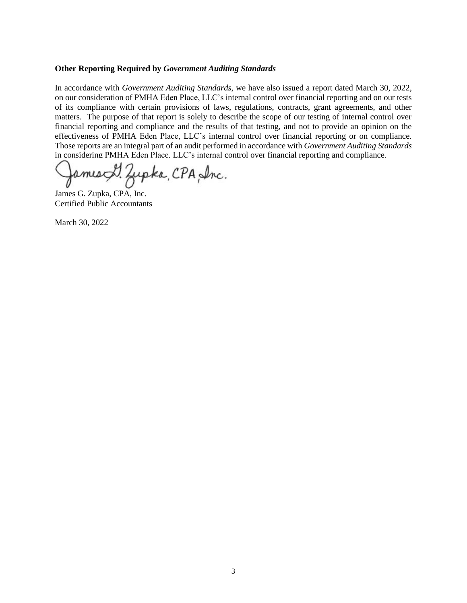#### **Other Reporting Required by** *Government Auditing Standards*

In accordance with *Government Auditing Standards*, we have also issued a report dated March 30, 2022, on our consideration of PMHA Eden Place, LLC's internal control over financial reporting and on our tests of its compliance with certain provisions of laws, regulations, contracts, grant agreements, and other matters. The purpose of that report is solely to describe the scope of our testing of internal control over financial reporting and compliance and the results of that testing, and not to provide an opinion on the effectiveness of PMHA Eden Place, LLC's internal control over financial reporting or on compliance. Those reports are an integral part of an audit performed in accordance with *Government Auditing Standards* in considering PMHA Eden Place, LLC's internal control over financial reporting and compliance.

amesch. Zupka, CPA, Inc.

James G. Zupka, CPA, Inc. Certified Public Accountants

March 30, 2022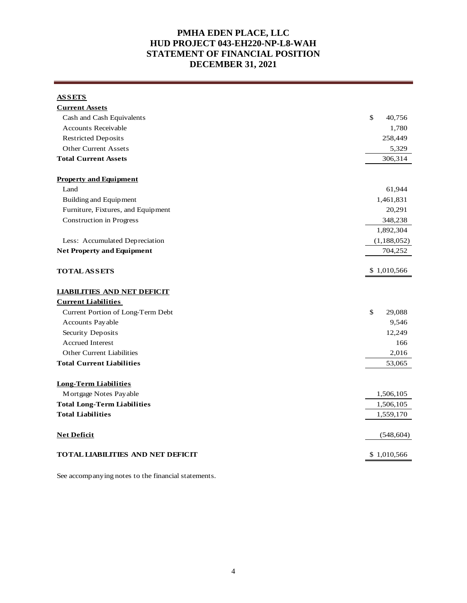# **PMHA EDEN PLACE, LLC HUD PROJECT 043-EH220-NP-L8-WAH STATEMENT OF FINANCIAL POSITION DECEMBER 31, 2021**

### **ASSETS**

| <b>Current Assets</b>                    |              |
|------------------------------------------|--------------|
| Cash and Cash Equivalents                | \$<br>40,756 |
| Accounts Receivable                      | 1,780        |
| <b>Restricted Deposits</b>               | 258,449      |
| Other Current Assets                     | 5,329        |
| <b>Total Current Assets</b>              | 306,314      |
| <b>Property and Equipment</b>            |              |
| Land                                     | 61,944       |
| Building and Equipment                   | 1,461,831    |
| Furniture, Fixtures, and Equipment       | 20,291       |
| <b>Construction</b> in Progress          | 348,238      |
|                                          | 1,892,304    |
| Less: Accumulated Depreciation           | (1,188,052)  |
| <b>Net Property and Equipment</b>        | 704,252      |
| <b>TOTAL ASSETS</b>                      | \$1,010,566  |
| <b>LIABILITIES AND NET DEFICIT</b>       |              |
| <b>Current Liabilities</b>               |              |
| Current Portion of Long-Term Debt        | \$<br>29,088 |
| Accounts Payable                         | 9,546        |
| Security Deposits                        | 12,249       |
| <b>Accrued Interest</b>                  | 166          |
| Other Current Liabilities                | 2,016        |
| <b>Total Current Liabilities</b>         | 53,065       |
| <b>Long-Term Liabilities</b>             |              |
| Mortgage Notes Payable                   | 1,506,105    |
| <b>Total Long-Term Liabilities</b>       | 1,506,105    |
| <b>Total Liabilities</b>                 | 1,559,170    |
| <b>Net Deficit</b>                       | (548, 604)   |
| <b>TOTAL LIABILITIES AND NET DEFICIT</b> | \$1,010,566  |

See accompanying notes to the financial statements.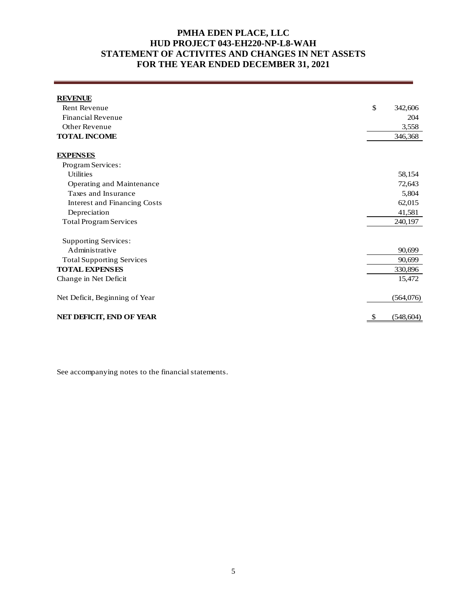# **PMHA EDEN PLACE, LLC HUD PROJECT 043-EH220-NP-L8-WAH STATEMENT OF ACTIVITES AND CHANGES IN NET ASSETS FOR THE YEAR ENDED DECEMBER 31, 2021**

| <b>REVENUE</b>                      |                  |
|-------------------------------------|------------------|
| Rent Revenue                        | \$<br>342,606    |
| <b>Financial Revenue</b>            | 204              |
| <b>Other Revenue</b>                | 3,558            |
| <b>TOTAL INCOME</b>                 | 346,368          |
| <b>EXPENSES</b>                     |                  |
| Program Services:                   |                  |
| <b>Utilities</b>                    | 58,154           |
| Operating and Maintenance           | 72,643           |
| Taxes and Insurance                 | 5,804            |
| <b>Interest and Financing Costs</b> | 62,015           |
| Depreciation                        | 41,581           |
| <b>Total Program Services</b>       | 240,197          |
| <b>Supporting Services:</b>         |                  |
| Administrative                      | 90,699           |
| <b>Total Supporting Services</b>    | 90,699           |
| <b>TOTAL EXPENSES</b>               | 330,896          |
| Change in Net Deficit               | 15,472           |
| Net Deficit, Beginning of Year      | (564,076)        |
| NET DEFICIT, END OF YEAR            | (548, 604)<br>\$ |

See accompanying notes to the financial statements.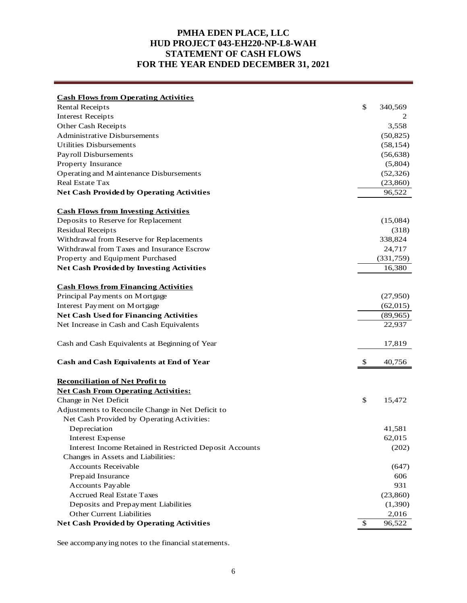# **PMHA EDEN PLACE, LLC HUD PROJECT 043-EH220-NP-L8-WAH STATEMENT OF CASH FLOWS FOR THE YEAR ENDED DECEMBER 31, 2021**

| <b>Cash Flows from Operating Activities</b>                    |               |
|----------------------------------------------------------------|---------------|
| <b>Rental Receipts</b>                                         | \$<br>340,569 |
| <b>Interest Receipts</b>                                       |               |
| Other Cash Receipts                                            | 3,558         |
| <b>Administrative Disbursements</b>                            | (50, 825)     |
| <b>Utilities Disbursements</b>                                 | (58, 154)     |
| Payroll Disbursements                                          | (56, 638)     |
| Property Insurance                                             | (5,804)       |
| Operating and Maintenance Disbursements                        | (52, 326)     |
| Real Estate Tax                                                | (23, 860)     |
| <b>Net Cash Provided by Operating Activities</b>               | 96,522        |
| <b>Cash Flows from Investing Activities</b>                    |               |
| Deposits to Reserve for Replacement                            | (15,084)      |
| <b>Residual Receipts</b>                                       | (318)         |
| Withdrawal from Reserve for Replacements                       | 338,824       |
| Withdrawal from Taxes and Insurance Escrow                     | 24,717        |
| Property and Equipment Purchased                               | (331,759)     |
| <b>Net Cash Provided by Investing Activities</b>               | 16,380        |
| <b>Cash Flows from Financing Activities</b>                    |               |
| Principal Payments on Mortgage                                 | (27,950)      |
| Interest Payment on Mortgage                                   | (62,015)      |
| <b>Net Cash Used for Financing Activities</b>                  | (89,965)      |
| Net Increase in Cash and Cash Equivalents                      | 22,937        |
| Cash and Cash Equivalents at Beginning of Year                 | 17,819        |
| Cash and Cash Equivalents at End of Year                       | \$<br>40,756  |
| <b>Reconciliation of Net Profit to</b>                         |               |
| <b>Net Cash From Operating Activities:</b>                     |               |
| Change in Net Deficit                                          | \$<br>15,472  |
| Adjustments to Reconcile Change in Net Deficit to              |               |
| Net Cash Provided by Operating Activities:                     |               |
| Depreciation                                                   | 41,581        |
| <b>Interest Expense</b>                                        | 62,015        |
| <b>Interest Income Retained in Restricted Deposit Accounts</b> | (202)         |
| Changes in Assets and Liabilities:                             |               |
| <b>Accounts Receivable</b>                                     | (647)         |
| Prepaid Insurance                                              | 606           |
| Accounts Payable                                               | 931           |
| <b>Accrued Real Estate Taxes</b>                               | (23, 860)     |
| Deposits and Prepayment Liabilities                            | (1,390)       |
| Other Current Liabilities                                      | 2,016         |
| <b>Net Cash Provided by Operating Activities</b>               | \$<br>96,522  |

See accompanying notes to the financial statements.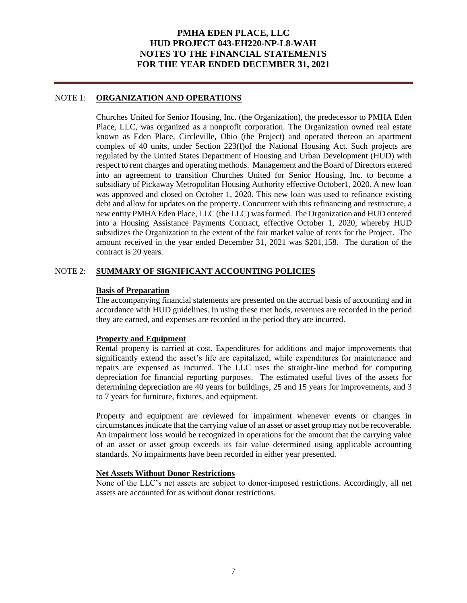### **PMHA EDEN PLACE, LLC HUD PROJECT 043-EH220-NP-L8-WAH NOTES TO THE FINANCIAL STATEMENTS FOR THE YEAR ENDED DECEMBER 31, 2021**

#### NOTE 1: **ORGANIZATION AND OPERATIONS**

Churches United for Senior Housing, Inc. (the Organization), the predecessor to PMHA Eden Place, LLC, was organized as a nonprofit corporation. The Organization owned real estate known as Eden Place, Circleville, Ohio (the Project) and operated thereon an apartment complex of 40 units, under Section 223(f)of the National Housing Act. Such projects are regulated by the United States Department of Housing and Urban Development (HUD) with respect to rent charges and operating methods. Management and the Board of Directors entered into an agreement to transition Churches United for Senior Housing, Inc. to become a subsidiary of Pickaway Metropolitan Housing Authority effective October1, 2020. A new loan was approved and closed on October 1, 2020. This new loan was used to refinance existing debt and allow for updates on the property. Concurrent with this refinancing and restructure, a new entity PMHA Eden Place, LLC (the LLC) was formed. The Organization and HUD entered into a Housing Assistance Payments Contract, effective October 1, 2020, whereby HUD subsidizes the Organization to the extent of the fair market value of rents for the Project. The amount received in the year ended December 31, 2021 was \$201,158. The duration of the contract is 20 years.

#### NOTE 2: **SUMMARY OF SIGNIFICANT ACCOUNTING POLICIES**

#### **Basis of Preparation**

The accompanying financial statements are presented on the accrual basis of accounting and in accordance with HUD guidelines. In using these met hods, revenues are recorded in the period they are earned, and expenses are recorded in the period they are incurred.

#### **Property and Equipment**

Rental property is carried at cost. Expenditures for additions and major improvements that significantly extend the asset's life are capitalized, while expenditures for maintenance and repairs are expensed as incurred. The LLC uses the straight-line method for computing depreciation for financial reporting purposes. The estimated useful lives of the assets for determining depreciation are 40 years for buildings, 25 and 15 years for improvements, and 3 to 7 years for furniture, fixtures, and equipment.

Property and equipment are reviewed for impairment whenever events or changes in circumstancesindicate that the carrying value of an asset or asset group may not be recoverable. An impairment loss would be recognized in operations for the amount that the carrying value of an asset or asset group exceeds its fair value determined using applicable accounting standards. No impairments have been recorded in either year presented.

#### **Net Assets Without Donor Restrictions**

None of the LLC's net assets are subject to donor-imposed restrictions. Accordingly, all net assets are accounted for as without donor restrictions.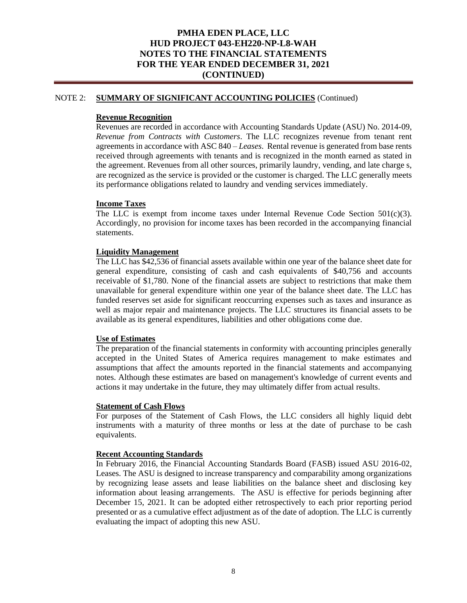### **PMHA EDEN PLACE, LLC HUD PROJECT 043-EH220-NP-L8-WAH NOTES TO THE FINANCIAL STATEMENTS FOR THE YEAR ENDED DECEMBER 31, 2021 (CONTINUED)**

#### NOTE 2: **SUMMARY OF SIGNIFICANT ACCOUNTING POLICIES** (Continued)

#### **Revenue Recognition**

Revenues are recorded in accordance with Accounting Standards Update (ASU) No. 2014-09, *Revenue from Contracts with Customers*. The LLC recognizes revenue from tenant rent agreements in accordance with ASC 840 – *Leases*. Rental revenue is generated from base rents received through agreements with tenants and is recognized in the month earned as stated in the agreement. Revenues from all other sources, primarily laundry, vending, and late charge s, are recognized as the service is provided or the customer is charged. The LLC generally meets its performance obligations related to laundry and vending services immediately.

#### **Income Taxes**

The LLC is exempt from income taxes under Internal Revenue Code Section 501(c)(3). Accordingly, no provision for income taxes has been recorded in the accompanying financial statements.

#### **Liquidity Management**

The LLC has \$42,536 of financial assets available within one year of the balance sheet date for general expenditure, consisting of cash and cash equivalents of \$40,756 and accounts receivable of \$1,780. None of the financial assets are subject to restrictions that make them unavailable for general expenditure within one year of the balance sheet date. The LLC has funded reserves set aside for significant reoccurring expenses such as taxes and insurance as well as major repair and maintenance projects. The LLC structures its financial assets to be available as its general expenditures, liabilities and other obligations come due.

#### **Use of Estimates**

The preparation of the financial statements in conformity with accounting principles generally accepted in the United States of America requires management to make estimates and assumptions that affect the amounts reported in the financial statements and accompanying notes. Although these estimates are based on management's knowledge of current events and actions it may undertake in the future, they may ultimately differ from actual results.

#### **Statement of Cash Flows**

For purposes of the Statement of Cash Flows, the LLC considers all highly liquid debt instruments with a maturity of three months or less at the date of purchase to be cash equivalents.

#### **Recent Accounting Standards**

In February 2016, the Financial Accounting Standards Board (FASB) issued ASU 2016-02, Leases. The ASU is designed to increase transparency and comparability among organizations by recognizing lease assets and lease liabilities on the balance sheet and disclosing key information about leasing arrangements. The ASU is effective for periods beginning after December 15, 2021. It can be adopted either retrospectively to each prior reporting period presented or as a cumulative effect adjustment as of the date of adoption. The LLC is currently evaluating the impact of adopting this new ASU.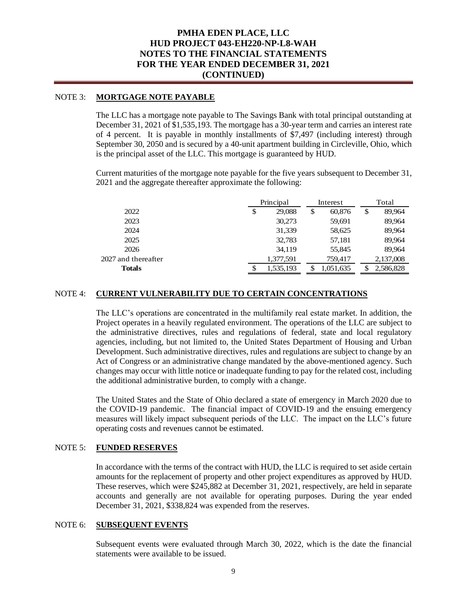### **PMHA EDEN PLACE, LLC HUD PROJECT 043-EH220-NP-L8-WAH NOTES TO THE FINANCIAL STATEMENTS FOR THE YEAR ENDED DECEMBER 31, 2021 (CONTINUED)**

#### NOTE 3: **MORTGAGE NOTE PAYABLE**

The LLC has a mortgage note payable to The Savings Bank with total principal outstanding at December 31, 2021 of \$1,535,193. The mortgage has a 30-year term and carries an interest rate of 4 percent. It is payable in monthly installments of \$7,497 (including interest) through September 30, 2050 and is secured by a 40-unit apartment building in Circleville, Ohio, which is the principal asset of the LLC. This mortgage is guaranteed by HUD.

Current maturities of the mortgage note payable for the five years subsequent to December 31, 2021 and the aggregate thereafter approximate the following:

|                     | Principal    |  | Interest     | Total |           |  |
|---------------------|--------------|--|--------------|-------|-----------|--|
| 2022                | \$<br>29,088 |  | \$<br>60,876 |       | 89,964    |  |
| 2023                | 30,273       |  | 59,691       |       | 89,964    |  |
| 2024                | 31,339       |  | 58,625       |       | 89,964    |  |
| 2025                | 32,783       |  | 57,181       |       | 89,964    |  |
| 2026                | 34.119       |  | 55,845       |       | 89,964    |  |
| 2027 and thereafter | 1,377,591    |  | 759.417      |       | 2,137,008 |  |
| <b>Totals</b>       | 1,535,193    |  | 1,051,635    |       | 2,586,828 |  |

#### NOTE 4: **CURRENT VULNERABILITY DUE TO CERTAIN CONCENTRATIONS**

The LLC's operations are concentrated in the multifamily real estate market. In addition, the Project operates in a heavily regulated environment. The operations of the LLC are subject to the administrative directives, rules and regulations of federal, state and local regulatory agencies, including, but not limited to, the United States Department of Housing and Urban Development. Such administrative directives, rules and regulations are subject to change by an Act of Congress or an administrative change mandated by the above-mentioned agency. Such changes may occur with little notice or inadequate funding to pay for the related cost, including the additional administrative burden, to comply with a change.

The United States and the State of Ohio declared a state of emergency in March 2020 due to the COVID-19 pandemic. The financial impact of COVID-19 and the ensuing emergency measures will likely impact subsequent periods of the LLC. The impact on the LLC's future operating costs and revenues cannot be estimated.

#### NOTE 5: **FUNDED RESERVES**

In accordance with the terms of the contract with HUD, the LLC is required to set aside certain amounts for the replacement of property and other project expenditures as approved by HUD. These reserves, which were \$245,882 at December 31, 2021, respectively, are held in separate accounts and generally are not available for operating purposes. During the year ended December 31, 2021, \$338,824 was expended from the reserves.

#### NOTE 6: **SUBSEQUENT EVENTS**

Subsequent events were evaluated through March 30, 2022, which is the date the financial statements were available to be issued.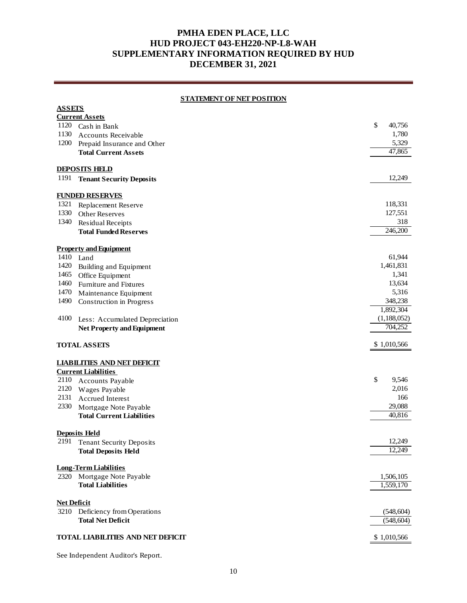# **PMHA EDEN PLACE, LLC HUD PROJECT 043-EH220-NP-L8-WAH SUPPLEMENTARY INFORMATION REQUIRED BY HUD DECEMBER 31, 2021**

#### **STATEMENT OF NET POSITION**

| <b>ASSETS</b>      |                                          |                          |
|--------------------|------------------------------------------|--------------------------|
|                    | <b>Current Assets</b>                    |                          |
| 1120               | Cash in Bank                             | \$<br>40,756             |
| 1130               | <b>Accounts Receivable</b>               | 1,780                    |
| 1200               | Prepaid Insurance and Other              | 5,329                    |
|                    | <b>Total Current Assets</b>              | 47,865                   |
|                    |                                          |                          |
|                    | <b>DEPOSITS HELD</b>                     |                          |
| 1191               | <b>Tenant Security Deposits</b>          | 12,249                   |
|                    | <b>FUNDED RESERVES</b>                   |                          |
| 1321               | Replacement Reserve                      | 118,331                  |
| 1330               | <b>Other Reserves</b>                    | 127,551                  |
| 1340               | <b>Residual Receipts</b>                 | 318                      |
|                    | <b>Total Funded Reserves</b>             | 246,200                  |
|                    |                                          |                          |
|                    | <b>Property and Equipment</b>            |                          |
| 1410               | Land                                     | 61,944                   |
| 1420               | Building and Equipment                   | 1,461,831                |
| 1465               | Office Equipment                         | 1,341                    |
| 1460               | Furniture and Fixtures                   | 13,634                   |
| 1470               | Maintenance Equipment                    | 5,316                    |
| 1490               | Construction in Progress                 | 348,238                  |
|                    |                                          | 1,892,304<br>(1,188,052) |
| 4100               | Less: Accumulated Depreciation           | 704,252                  |
|                    | <b>Net Property and Equipment</b>        |                          |
|                    | <b>TOTAL ASSETS</b>                      | \$1,010,566              |
|                    | <b>LIABILITIES AND NET DEFICIT</b>       |                          |
|                    | <b>Current Liabilities</b>               |                          |
| 2110               | <b>Accounts Payable</b>                  | \$<br>9,546              |
| 2120               | Wages Payable                            | 2,016                    |
| 2131               | <b>Accrued Interest</b>                  | 166                      |
| 2330               | Mortgage Note Payable                    | 29,088                   |
|                    | <b>Total Current Liabilities</b>         | 40,816                   |
|                    |                                          |                          |
|                    | <b>Deposits Held</b>                     |                          |
| 2191               | <b>Tenant Security Deposits</b>          | 12,249                   |
|                    | <b>Total Deposits Held</b>               | 12,249                   |
|                    | Long-Term Liabilities                    |                          |
| 2320               | Mortgage Note Payable                    | 1,506,105                |
|                    | <b>Total Liabilities</b>                 | 1,559,170                |
|                    |                                          |                          |
| <b>Net Deficit</b> |                                          |                          |
| 3210               | Deficiency from Operations               | (548, 604)               |
|                    | <b>Total Net Deficit</b>                 | (548, 604)               |
|                    |                                          |                          |
|                    |                                          |                          |
|                    | <b>TOTAL LIABILITIES AND NET DEFICIT</b> | \$1,010,566              |

See Independent Auditor's Report.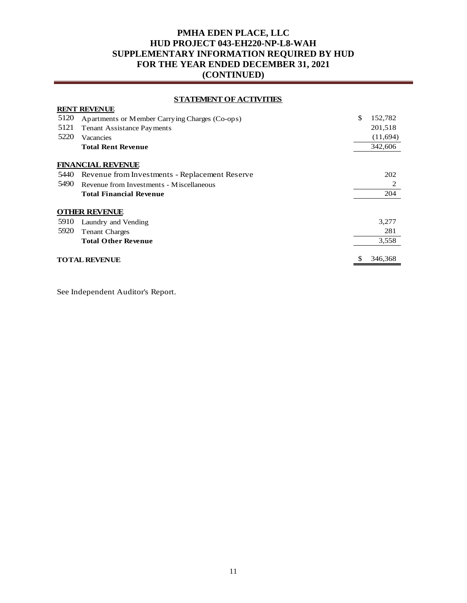#### **STATEMENT OF ACTIVITIES**

|      | <b>RENT REVENUE</b>                            |    |          |  |  |  |
|------|------------------------------------------------|----|----------|--|--|--|
| 5120 | Apartments or Member Carrying Charges (Co-ops) | \$ | 152,782  |  |  |  |
| 5121 | <b>Tenant Assistance Payments</b>              |    | 201,518  |  |  |  |
| 5220 | Vacancies                                      |    | (11,694) |  |  |  |
|      | <b>Total Rent Revenue</b>                      |    | 342,606  |  |  |  |
|      | <b>FINANCIAL REVENUE</b>                       |    |          |  |  |  |
| 5440 | Revenue from Investments - Replacement Reserve |    | 202      |  |  |  |
| 5490 | Revenue from Investments - Miscellaneous       |    | 2        |  |  |  |
|      | <b>Total Financial Revenue</b>                 |    |          |  |  |  |
|      | <b>HER REVENUE</b>                             |    |          |  |  |  |
| 5910 | Laundry and Vending                            |    | 3,277    |  |  |  |
| 5920 | <b>Tenant Charges</b>                          |    | 281      |  |  |  |
|      | <b>Total Other Revenue</b>                     |    | 3,558    |  |  |  |
|      | <b>TOTAL REVENUE</b>                           | \$ | 346,368  |  |  |  |

See Independent Auditor's Report.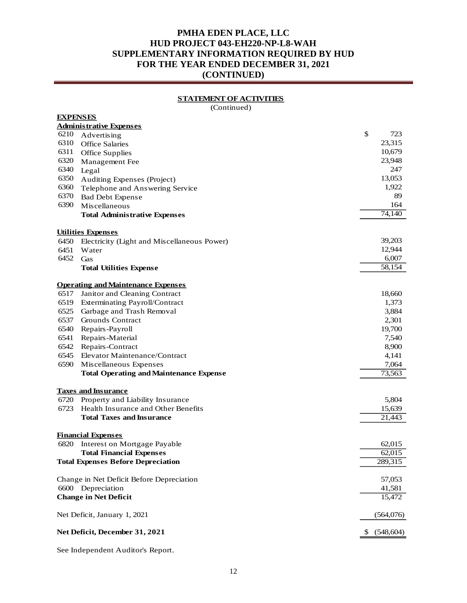# **STATEMENT OF ACTIVITIES**

(Continued)

| <u>EAL ENGER</u> |                                                           |                  |
|------------------|-----------------------------------------------------------|------------------|
|                  | <b>Administrative Expenses</b>                            |                  |
| 6210             | Advertising                                               | \$<br>723        |
| 6310             | <b>Office Salaries</b>                                    | 23,315           |
| 6311             | Office Supplies                                           | 10,679           |
| 6320             | Management Fee                                            | 23,948           |
| 6340             | Legal                                                     | 247              |
| 6350             | Auditing Expenses (Project)                               | 13,053           |
| 6360             | Telephone and Answering Service                           | 1,922            |
| 6370             | <b>Bad Debt Expense</b>                                   | 89               |
| 6390             | Miscellaneous                                             | 164              |
|                  | <b>Total Administrative Expenses</b>                      | 74,140           |
|                  | <b>Utilities Expenses</b>                                 |                  |
| 6450             | Electricity (Light and Miscellaneous Power)               | 39,203           |
| 6451             | Water                                                     | 12,944           |
| 6452             | Gas                                                       | 6,007            |
|                  | <b>Total Utilities Expense</b>                            | 58,154           |
|                  | <b>Operating and Maintenance Expenses</b>                 |                  |
| 6517             | Janitor and Cleaning Contract                             | 18,660           |
|                  | 6519 Exterminating Payroll/Contract                       | 1,373            |
| 6525             | Garbage and Trash Removal                                 | 3,884            |
| 6537             | Grounds Contract                                          | 2,301            |
| 6540             | Repairs-Payroll                                           | 19,700           |
| 6541             | Repairs-Material                                          | 7,540            |
|                  | 6542 Repairs-Contract                                     | 8,900            |
| 6545             | Elevator Maintenance/Contract                             | 4,141            |
| 6590             | Miscellaneous Expenses                                    | 7,064            |
|                  | <b>Total Operating and Maintenance Expense</b>            | 73,563           |
|                  | <b>Taxes and Insurance</b>                                |                  |
|                  | 6720 Property and Liability Insurance                     | 5,804            |
| 6723             | Health Insurance and Other Benefits                       | 15,639           |
|                  | <b>Total Taxes and Insurance</b>                          | 21,443           |
|                  |                                                           |                  |
| 6820             | <b>Financial Expenses</b><br>Interest on Mortgage Payable | 62,015           |
|                  | <b>Total Financial Expenses</b>                           | 62,015           |
|                  | Total Expenses Before Depreciation                        | 289,315          |
|                  |                                                           |                  |
|                  | Change in Net Deficit Before Depreciation                 | 57,053           |
|                  | 6600 Depreciation                                         | 41,581           |
|                  | <b>Change in Net Deficit</b>                              | 15,472           |
|                  | Net Deficit, January 1, 2021                              | (564,076)        |
|                  | Net Deficit, December 31, 2021                            | \$<br>(548, 604) |
|                  |                                                           |                  |

See Independent Auditor's Report.

**EXPENSES**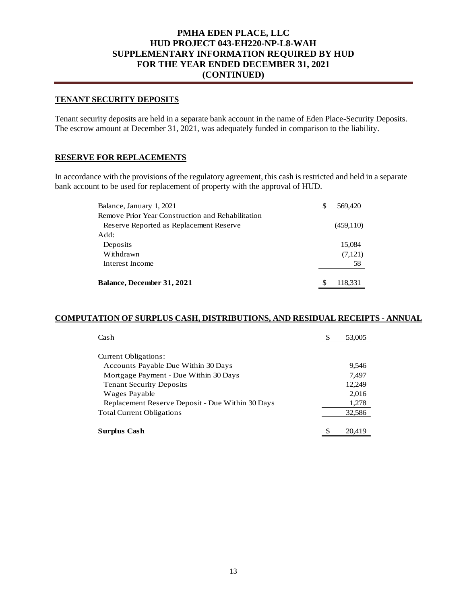### **TENANT SECURITY DEPOSITS**

Tenant security deposits are held in a separate bank account in the name of Eden Place-Security Deposits. The escrow amount at December 31, 2021, was adequately funded in comparison to the liability.

#### **RESERVE FOR REPLACEMENTS**

In accordance with the provisions of the regulatory agreement, this cash is restricted and held in a separate bank account to be used for replacement of property with the approval of HUD.

| Balance, January 1, 2021                          | S | 569,420    |
|---------------------------------------------------|---|------------|
| Remove Prior Year Construction and Rehabilitation |   |            |
| Reserve Reported as Replacement Reserve           |   | (459, 110) |
| Add:                                              |   |            |
| Deposits                                          |   | 15,084     |
| Withdrawn                                         |   | (7,121)    |
| Interest Income                                   |   | 58         |
|                                                   |   |            |
| Balance, December 31, 2021                        | S | 118.331    |

#### **COMPUTATION OF SURPLUS CASH, DISTRIBUTIONS, AND RESIDUAL RECEIPTS - ANNUAL**

| Cash                                             | S | 53,005 |
|--------------------------------------------------|---|--------|
| Current Obligations:                             |   |        |
| Accounts Payable Due Within 30 Days              |   | 9.546  |
| Mortgage Payment - Due Within 30 Days            |   | 7.497  |
| <b>Tenant Security Deposits</b>                  |   | 12,249 |
| Wages Payable                                    |   | 2,016  |
| Replacement Reserve Deposit - Due Within 30 Days |   | 1,278  |
| <b>Total Current Obligations</b>                 |   | 32,586 |
|                                                  |   |        |
| Surplus Cash                                     |   | 20.419 |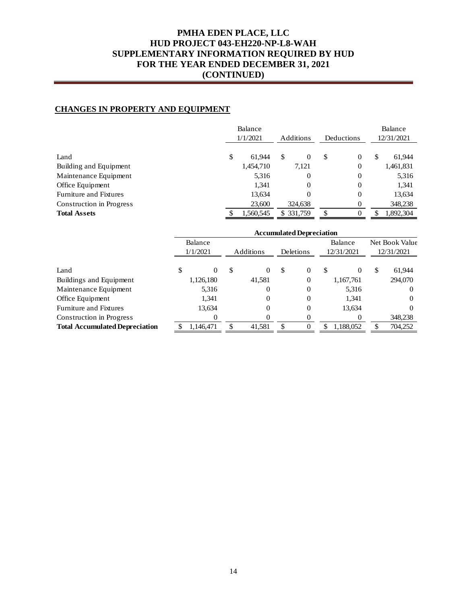### **CHANGES IN PROPERTY AND EQUIPMENT**

|                               | Balance<br>1/1/2021 |           |               | <b>Additions</b> | Deductions |          | Balance<br>12/31/2021 |           |
|-------------------------------|---------------------|-----------|---------------|------------------|------------|----------|-----------------------|-----------|
|                               |                     |           |               |                  |            |          |                       |           |
| Land                          | \$                  | 61.944    | <sup>\$</sup> | $\Omega$         | \$         | $\Omega$ | \$                    | 61,944    |
| Building and Equipment        |                     | 1,454,710 |               | 7,121            |            | $\Omega$ |                       | 1,461,831 |
| Maintenance Equipment         |                     | 5,316     |               | $\boldsymbol{0}$ |            | $\theta$ |                       | 5,316     |
| Office Equipment              |                     | 1,341     |               | $\Omega$         |            | $\Omega$ |                       | 1,341     |
| <b>Furniture and Fixtures</b> |                     | 13,634    |               | $\theta$         |            | $\Omega$ |                       | 13,634    |
| Construction in Progress      |                     | 23,600    |               | 324,638          |            |          |                       | 348,238   |
| <b>Total Assets</b>           |                     | 1,560,545 |               | \$ 331,759       | \$.        |          | £.                    | 1,892,304 |

|                                       |                     | <b>Accumulated Depreciation</b> |           |          |           |                |                       |           |                              |         |
|---------------------------------------|---------------------|---------------------------------|-----------|----------|-----------|----------------|-----------------------|-----------|------------------------------|---------|
|                                       | Balance<br>1/1/2021 |                                 | Additions |          | Deletions |                | Balance<br>12/31/2021 |           | Net Book Value<br>12/31/2021 |         |
|                                       |                     |                                 |           |          |           |                |                       |           |                              |         |
| Land                                  |                     | 0                               | \$        | 0        | S         | $\mathbf{0}$   | \$                    | 0         | \$                           | 61,944  |
| Buildings and Equipment               |                     | 1,126,180                       |           | 41,581   |           | 0              |                       | 1,167,761 |                              | 294,070 |
| Maintenance Equipment                 |                     | 5,316                           |           | $\theta$ |           | $\overline{0}$ |                       | 5,316     |                              |         |
| Office Equipment                      |                     | 1,341                           |           | $\theta$ |           | $\overline{0}$ |                       | 1,341     |                              |         |
| Furniture and Fixtures                |                     | 13,634                          |           | 0        |           | $\overline{0}$ |                       | 13,634    |                              |         |
| <b>Construction in Progress</b>       |                     |                                 |           |          |           | $\overline{0}$ |                       | 0         |                              | 348,238 |
| <b>Total Accumulated Depreciation</b> |                     | 1.146.471                       | \$        | 41.581   |           | 0              | S                     | 1.188.052 | S                            | 704.252 |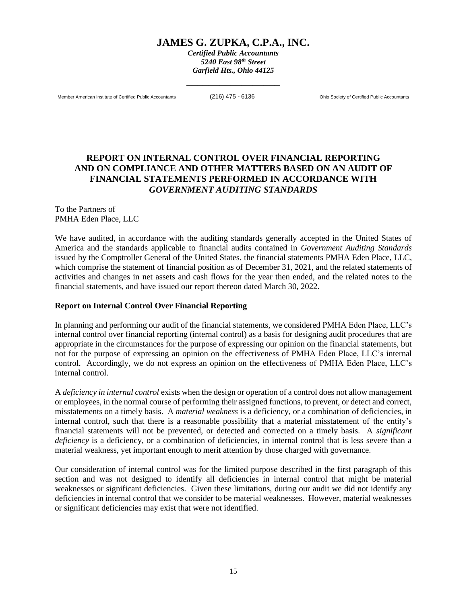# **JAMES G. ZUPKA, C.P.A., INC.**

*Certified Public Accountants 5240 East 98th Street Garfield Hts., Ohio 44125*

Member American Institute of Certified Public Accountants (216) 475 - 6136 Ohio Society of Certified Public Accountants

\_\_\_\_\_\_\_\_\_\_\_\_\_\_\_\_\_

### **REPORT ON INTERNAL CONTROL OVER FINANCIAL REPORTING AND ON COMPLIANCE AND OTHER MATTERS BASED ON AN AUDIT OF FINANCIAL STATEMENTS PERFORMED IN ACCORDANCE WITH** *GOVERNMENT AUDITING STANDARDS*

To the Partners of PMHA Eden Place, LLC

We have audited, in accordance with the auditing standards generally accepted in the United States of America and the standards applicable to financial audits contained in *Government Auditing Standards* issued by the Comptroller General of the United States, the financial statements PMHA Eden Place, LLC, which comprise the statement of financial position as of December 31, 2021, and the related statements of activities and changes in net assets and cash flows for the year then ended, and the related notes to the financial statements, and have issued our report thereon dated March 30, 2022.

#### **Report on Internal Control Over Financial Reporting**

In planning and performing our audit of the financial statements, we considered PMHA Eden Place, LLC's internal control over financial reporting (internal control) as a basis for designing audit procedures that are appropriate in the circumstances for the purpose of expressing our opinion on the financial statements, but not for the purpose of expressing an opinion on the effectiveness of PMHA Eden Place, LLC's internal control. Accordingly, we do not express an opinion on the effectiveness of PMHA Eden Place, LLC's internal control.

A *deficiency in internal control* exists when the design or operation of a control does not allow management or employees, in the normal course of performing their assigned functions, to prevent, or detect and correct, misstatements on a timely basis. A *material weakness* is a deficiency, or a combination of deficiencies, in internal control, such that there is a reasonable possibility that a material misstatement of the entity's financial statements will not be prevented, or detected and corrected on a timely basis. A *significant deficiency* is a deficiency, or a combination of deficiencies, in internal control that is less severe than a material weakness, yet important enough to merit attention by those charged with governance.

Our consideration of internal control was for the limited purpose described in the first paragraph of this section and was not designed to identify all deficiencies in internal control that might be material weaknesses or significant deficiencies. Given these limitations, during our audit we did not identify any deficiencies in internal control that we consider to be material weaknesses. However, material weaknesses or significant deficiencies may exist that were not identified.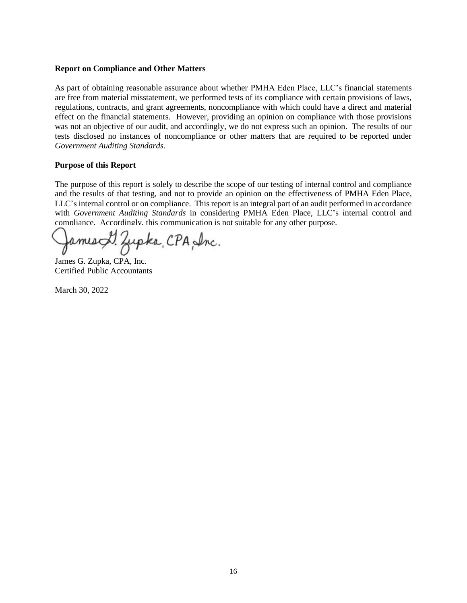#### **Report on Compliance and Other Matters**

As part of obtaining reasonable assurance about whether PMHA Eden Place, LLC's financial statements are free from material misstatement, we performed tests of its compliance with certain provisions of laws, regulations, contracts, and grant agreements, noncompliance with which could have a direct and material effect on the financial statements. However, providing an opinion on compliance with those provisions was not an objective of our audit, and accordingly, we do not express such an opinion. The results of our tests disclosed no instances of noncompliance or other matters that are required to be reported under *Government Auditing Standards*.

#### **Purpose of this Report**

The purpose of this report is solely to describe the scope of our testing of internal control and compliance and the results of that testing, and not to provide an opinion on the effectiveness of PMHA Eden Place, LLC's internal control or on compliance. This report is an integral part of an audit performed in accordance with *Government Auditing Standards* in considering PMHA Eden Place, LLC's internal control and compliance. Accordingly, this communication is not suitable for any other purpose.

meach Zupka, CPA, Inc.

James G. Zupka, CPA, Inc. Certified Public Accountants

March 30, 2022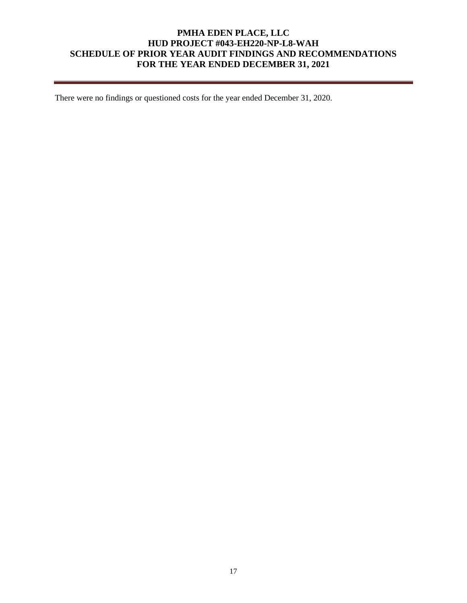## **PMHA EDEN PLACE, LLC HUD PROJECT #043-EH220-NP-L8-WAH SCHEDULE OF PRIOR YEAR AUDIT FINDINGS AND RECOMMENDATIONS FOR THE YEAR ENDED DECEMBER 31, 2021**

There were no findings or questioned costs for the year ended December 31, 2020.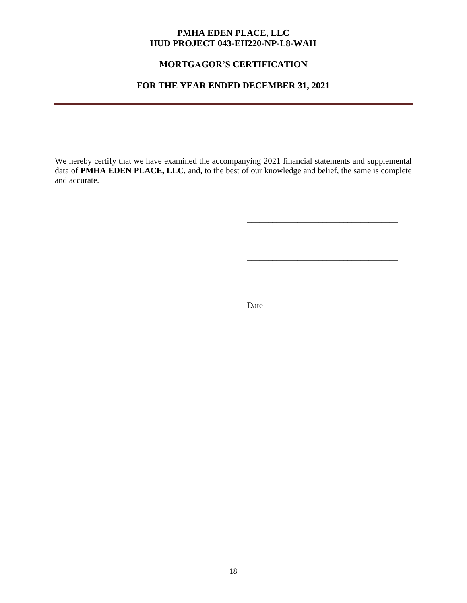### **PMHA EDEN PLACE, LLC HUD PROJECT 043-EH220-NP-L8-WAH**

# **MORTGAGOR'S CERTIFICATION**

# **FOR THE YEAR ENDED DECEMBER 31, 2021**

We hereby certify that we have examined the accompanying 2021 financial statements and supplemental data of **PMHA EDEN PLACE, LLC**, and, to the best of our knowledge and belief, the same is complete and accurate.

Date

\_\_\_\_\_\_\_\_\_\_\_\_\_\_\_\_\_\_\_\_\_\_\_\_\_\_\_\_\_\_\_\_\_\_\_\_

\_\_\_\_\_\_\_\_\_\_\_\_\_\_\_\_\_\_\_\_\_\_\_\_\_\_\_\_\_\_\_\_\_\_\_\_

\_\_\_\_\_\_\_\_\_\_\_\_\_\_\_\_\_\_\_\_\_\_\_\_\_\_\_\_\_\_\_\_\_\_\_\_